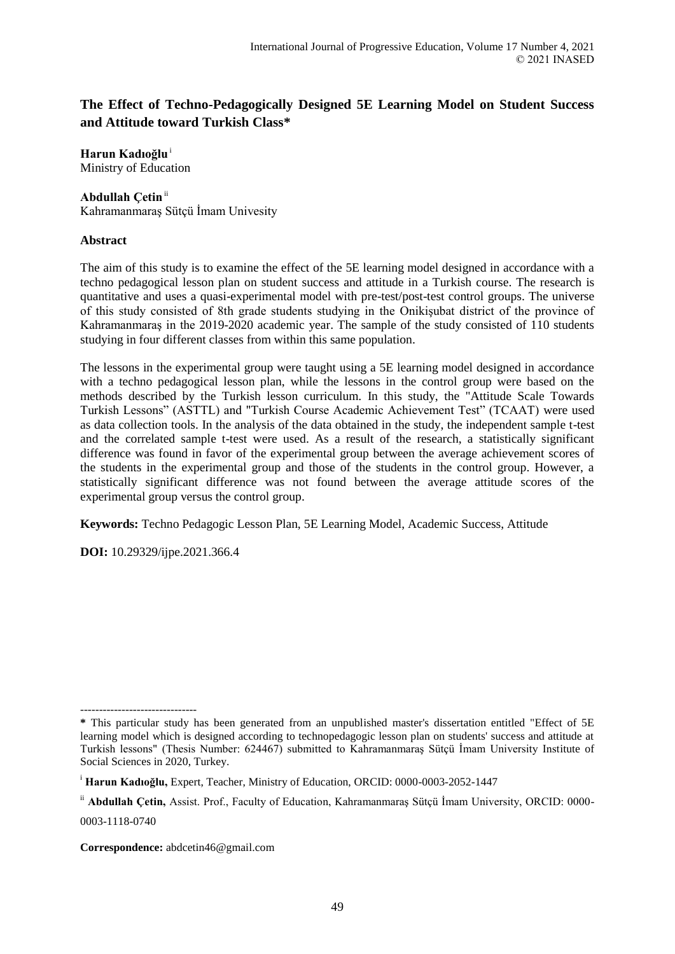# **The Effect of Techno-Pedagogically Designed 5E Learning Model on Student Success and Attitude toward Turkish Class\***

**Harun Kadıoğlu**<sup>i</sup> Ministry of Education

# **Abdullah Çetin**ii

Kahramanmaraş Sütçü İmam Univesity

### **Abstract**

The aim of this study is to examine the effect of the 5E learning model designed in accordance with a techno pedagogical lesson plan on student success and attitude in a Turkish course. The research is quantitative and uses a quasi-experimental model with pre-test/post-test control groups. The universe of this study consisted of 8th grade students studying in the Onikişubat district of the province of Kahramanmaraş in the 2019-2020 academic year. The sample of the study consisted of 110 students studying in four different classes from within this same population.

The lessons in the experimental group were taught using a 5E learning model designed in accordance with a techno pedagogical lesson plan, while the lessons in the control group were based on the methods described by the Turkish lesson curriculum. In this study, the "Attitude Scale Towards Turkish Lessons" (ASTTL) and "Turkish Course Academic Achievement Test" (TCAAT) were used as data collection tools. In the analysis of the data obtained in the study, the independent sample t-test and the correlated sample t-test were used. As a result of the research, a statistically significant difference was found in favor of the experimental group between the average achievement scores of the students in the experimental group and those of the students in the control group. However, a statistically significant difference was not found between the average attitude scores of the experimental group versus the control group.

**Keywords:** Techno Pedagogic Lesson Plan, 5E Learning Model, Academic Success, Attitude

**DOI:** 10.29329/ijpe.2021.366.4

<sup>-------------------------------</sup> **\*** This particular study has been generated from an unpublished master's dissertation entitled "Effect of 5E learning model which is designed according to technopedagogic lesson plan on students' success and attitude at Turkish lessons" (Thesis Number: 624467) submitted to Kahramanmaraş Sütçü İmam University Institute of Social Sciences in 2020, Turkey.

<sup>i</sup> **Harun Kadıoğlu,** Expert, Teacher, Ministry of Education, ORCID: 0000-0003-2052-1447

ii **Abdullah Çetin,** Assist. Prof., Faculty of Education, Kahramanmaraş Sütçü İmam University, ORCID: 0000- 0003-1118-0740

**Correspondence:** abdcetin46@gmail.com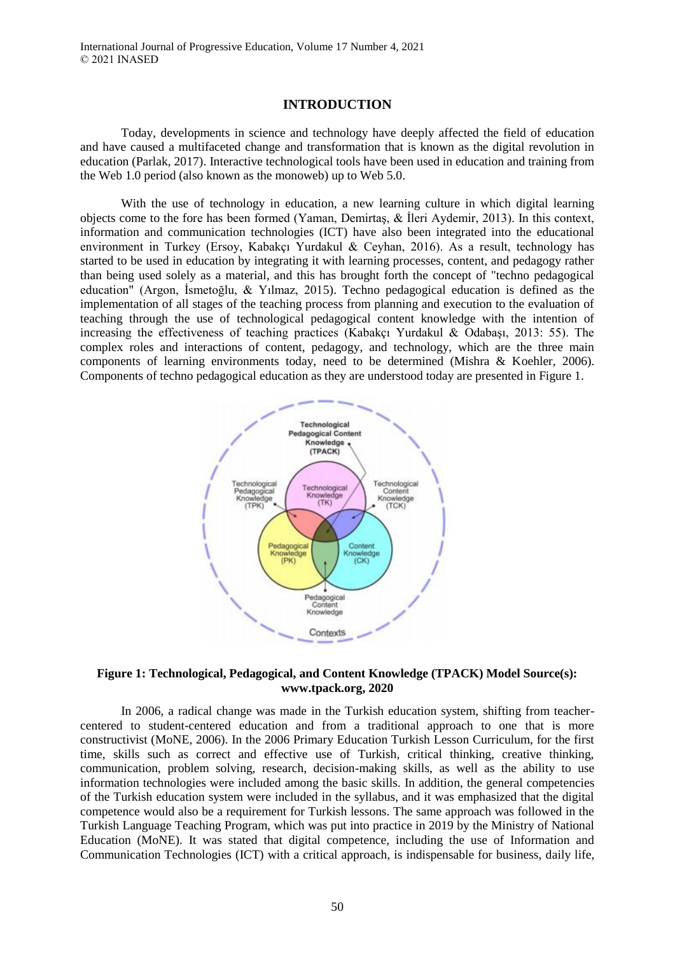#### **INTRODUCTION**

Today, developments in science and technology have deeply affected the field of education and have caused a multifaceted change and transformation that is known as the digital revolution in education (Parlak, 2017). Interactive technological tools have been used in education and training from the Web 1.0 period (also known as the monoweb) up to Web 5.0.

With the use of technology in education, a new learning culture in which digital learning objects come to the fore has been formed (Yaman, Demirtaş, & İleri Aydemir, 2013). In this context, information and communication technologies (ICT) have also been integrated into the educational environment in Turkey (Ersoy, Kabakçı Yurdakul & Ceyhan, 2016). As a result, technology has started to be used in education by integrating it with learning processes, content, and pedagogy rather than being used solely as a material, and this has brought forth the concept of "techno pedagogical education" (Argon, İsmetoğlu, & Yılmaz, 2015). Techno pedagogical education is defined as the implementation of all stages of the teaching process from planning and execution to the evaluation of teaching through the use of technological pedagogical content knowledge with the intention of increasing the effectiveness of teaching practices (Kabakçı Yurdakul & Odabaşı, 2013: 55). The complex roles and interactions of content, pedagogy, and technology, which are the three main components of learning environments today, need to be determined (Mishra & Koehler, 2006). Components of techno pedagogical education as they are understood today are presented in Figure 1.



#### **Figure 1: Technological, Pedagogical, and Content Knowledge (TPACK) Model Source(s): www.tpack.org, 2020**

In 2006, a radical change was made in the Turkish education system, shifting from teachercentered to student-centered education and from a traditional approach to one that is more constructivist (MoNE, 2006). In the 2006 Primary Education Turkish Lesson Curriculum, for the first time, skills such as correct and effective use of Turkish, critical thinking, creative thinking, communication, problem solving, research, decision-making skills, as well as the ability to use information technologies were included among the basic skills. In addition, the general competencies of the Turkish education system were included in the syllabus, and it was emphasized that the digital competence would also be a requirement for Turkish lessons. The same approach was followed in the Turkish Language Teaching Program, which was put into practice in 2019 by the Ministry of National Education (MoNE). It was stated that digital competence, including the use of Information and Communication Technologies (ICT) with a critical approach, is indispensable for business, daily life,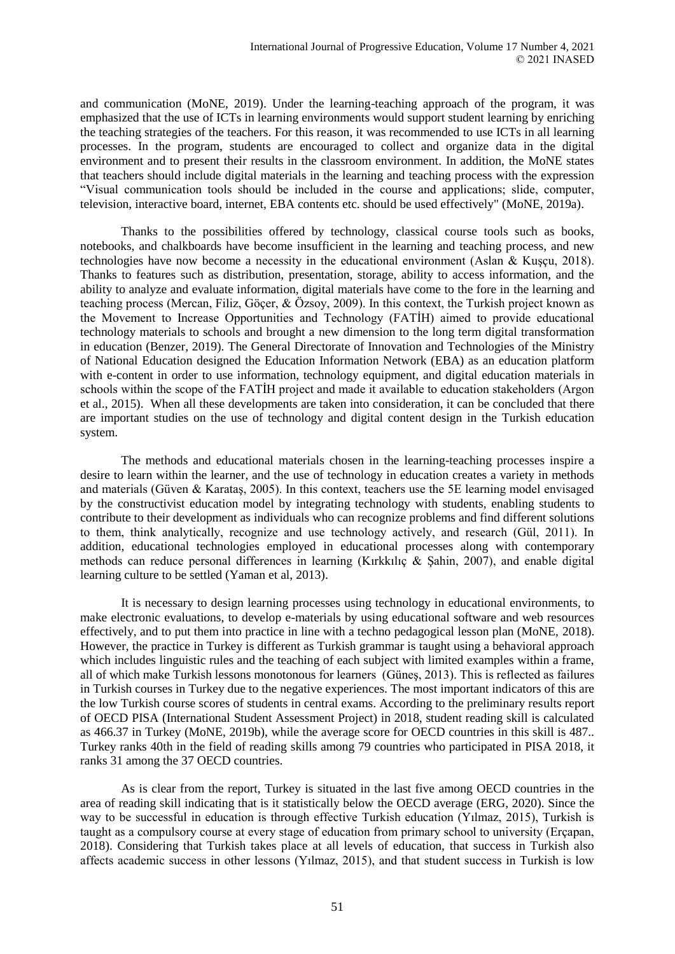and communication (MoNE, 2019). Under the learning-teaching approach of the program, it was emphasized that the use of ICTs in learning environments would support student learning by enriching the teaching strategies of the teachers. For this reason, it was recommended to use ICTs in all learning processes. In the program, students are encouraged to collect and organize data in the digital environment and to present their results in the classroom environment. In addition, the MoNE states that teachers should include digital materials in the learning and teaching process with the expression "Visual communication tools should be included in the course and applications; slide, computer, television, interactive board, internet, EBA contents etc. should be used effectively" (MoNE, 2019a).

Thanks to the possibilities offered by technology, classical course tools such as books, notebooks, and chalkboards have become insufficient in the learning and teaching process, and new technologies have now become a necessity in the educational environment (Aslan & Kuşçu, 2018). Thanks to features such as distribution, presentation, storage, ability to access information, and the ability to analyze and evaluate information, digital materials have come to the fore in the learning and teaching process (Mercan, Filiz, Göçer, & Özsoy, 2009). In this context, the Turkish project known as the Movement to Increase Opportunities and Technology (FATİH) aimed to provide educational technology materials to schools and brought a new dimension to the long term digital transformation in education (Benzer, 2019). The General Directorate of Innovation and Technologies of the Ministry of National Education designed the Education Information Network (EBA) as an education platform with e-content in order to use information, technology equipment, and digital education materials in schools within the scope of the FATİH project and made it available to education stakeholders (Argon et al., 2015). When all these developments are taken into consideration, it can be concluded that there are important studies on the use of technology and digital content design in the Turkish education system.

The methods and educational materials chosen in the learning-teaching processes inspire a desire to learn within the learner, and the use of technology in education creates a variety in methods and materials (Güven & Karataş, 2005). In this context, teachers use the 5E learning model envisaged by the constructivist education model by integrating technology with students, enabling students to contribute to their development as individuals who can recognize problems and find different solutions to them, think analytically, recognize and use technology actively, and research (Gül, 2011). In addition, educational technologies employed in educational processes along with contemporary methods can reduce personal differences in learning (Kırkkılıç & Şahin, 2007), and enable digital learning culture to be settled (Yaman et al, 2013).

It is necessary to design learning processes using technology in educational environments, to make electronic evaluations, to develop e-materials by using educational software and web resources effectively, and to put them into practice in line with a techno pedagogical lesson plan (MoNE, 2018). However, the practice in Turkey is different as Turkish grammar is taught using a behavioral approach which includes linguistic rules and the teaching of each subject with limited examples within a frame, all of which make Turkish lessons monotonous for learners (Güneş, 2013). This is reflected as failures in Turkish courses in Turkey due to the negative experiences. The most important indicators of this are the low Turkish course scores of students in central exams. According to the preliminary results report of OECD PISA (International Student Assessment Project) in 2018, student reading skill is calculated as 466.37 in Turkey (MoNE, 2019b), while the average score for OECD countries in this skill is 487.. Turkey ranks 40th in the field of reading skills among 79 countries who participated in PISA 2018, it ranks 31 among the 37 OECD countries.

As is clear from the report, Turkey is situated in the last five among OECD countries in the area of reading skill indicating that is it statistically below the OECD average (ERG, 2020). Since the way to be successful in education is through effective Turkish education (Yılmaz, 2015), Turkish is taught as a compulsory course at every stage of education from primary school to university (Erçapan, 2018). Considering that Turkish takes place at all levels of education, that success in Turkish also affects academic success in other lessons (Yılmaz, 2015), and that student success in Turkish is low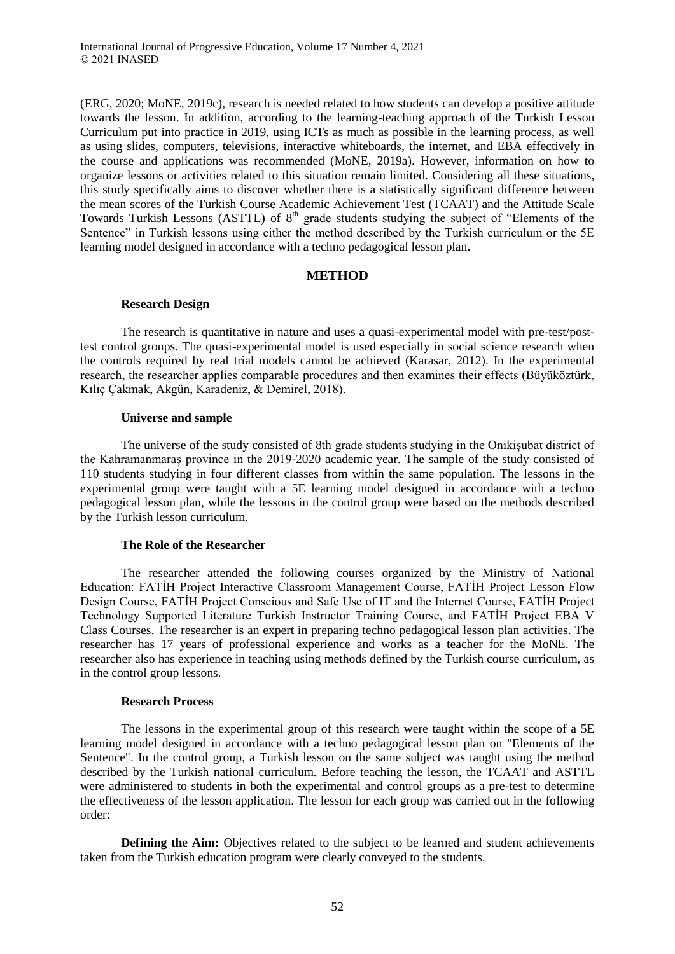(ERG, 2020; MoNE, 2019c), research is needed related to how students can develop a positive attitude towards the lesson. In addition, according to the learning-teaching approach of the Turkish Lesson Curriculum put into practice in 2019, using ICTs as much as possible in the learning process, as well as using slides, computers, televisions, interactive whiteboards, the internet, and EBA effectively in the course and applications was recommended (MoNE, 2019a). However, information on how to organize lessons or activities related to this situation remain limited. Considering all these situations, this study specifically aims to discover whether there is a statistically significant difference between the mean scores of the Turkish Course Academic Achievement Test (TCAAT) and the Attitude Scale Towards Turkish Lessons (ASTTL) of 8<sup>th</sup> grade students studying the subject of "Elements of the Sentence" in Turkish lessons using either the method described by the Turkish curriculum or the 5E learning model designed in accordance with a techno pedagogical lesson plan.

# **METHOD**

### **Research Design**

The research is quantitative in nature and uses a quasi-experimental model with pre-test/posttest control groups. The quasi-experimental model is used especially in social science research when the controls required by real trial models cannot be achieved (Karasar, 2012). In the experimental research, the researcher applies comparable procedures and then examines their effects (Büyüköztürk, Kılıç Çakmak, Akgün, Karadeniz, & Demirel, 2018).

#### **Universe and sample**

The universe of the study consisted of 8th grade students studying in the Onikişubat district of the Kahramanmaraş province in the 2019-2020 academic year. The sample of the study consisted of 110 students studying in four different classes from within the same population. The lessons in the experimental group were taught with a 5E learning model designed in accordance with a techno pedagogical lesson plan, while the lessons in the control group were based on the methods described by the Turkish lesson curriculum.

### **The Role of the Researcher**

The researcher attended the following courses organized by the Ministry of National Education: FATİH Project Interactive Classroom Management Course, FATİH Project Lesson Flow Design Course, FATİH Project Conscious and Safe Use of IT and the Internet Course, FATİH Project Technology Supported Literature Turkish Instructor Training Course, and FATİH Project EBA V Class Courses. The researcher is an expert in preparing techno pedagogical lesson plan activities. The researcher has 17 years of professional experience and works as a teacher for the MoNE. The researcher also has experience in teaching using methods defined by the Turkish course curriculum, as in the control group lessons.

### **Research Process**

The lessons in the experimental group of this research were taught within the scope of a 5E learning model designed in accordance with a techno pedagogical lesson plan on "Elements of the Sentence". In the control group, a Turkish lesson on the same subject was taught using the method described by the Turkish national curriculum. Before teaching the lesson, the TCAAT and ASTTL were administered to students in both the experimental and control groups as a pre-test to determine the effectiveness of the lesson application. The lesson for each group was carried out in the following order:

**Defining the Aim:** Objectives related to the subject to be learned and student achievements taken from the Turkish education program were clearly conveyed to the students.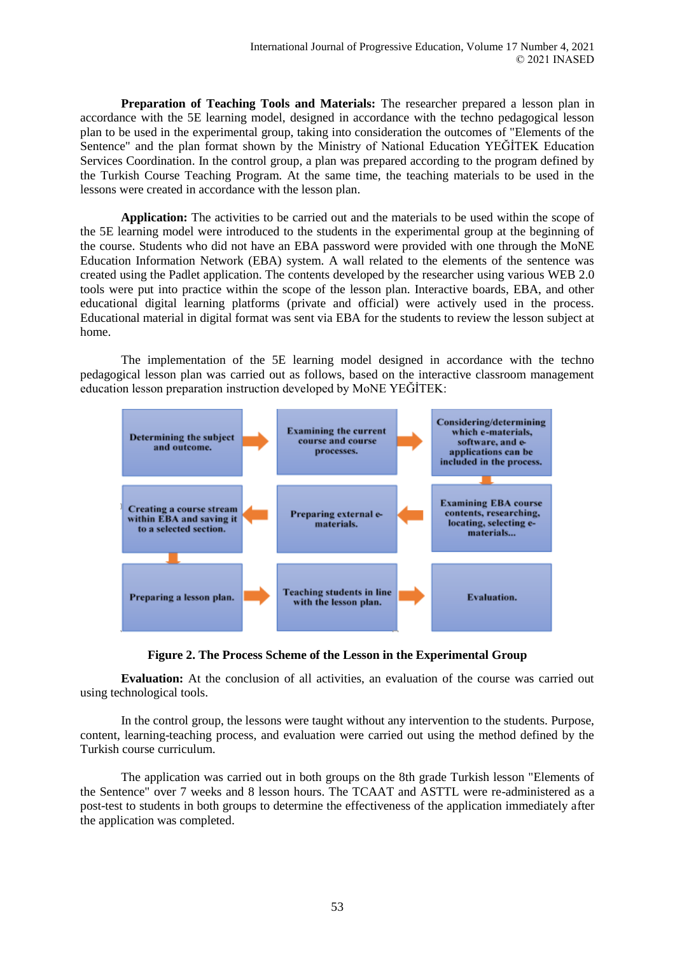**Preparation of Teaching Tools and Materials:** The researcher prepared a lesson plan in accordance with the 5E learning model, designed in accordance with the techno pedagogical lesson plan to be used in the experimental group, taking into consideration the outcomes of "Elements of the Sentence" and the plan format shown by the Ministry of National Education YEĞİTEK Education Services Coordination. In the control group, a plan was prepared according to the program defined by the Turkish Course Teaching Program. At the same time, the teaching materials to be used in the lessons were created in accordance with the lesson plan.

**Application:** The activities to be carried out and the materials to be used within the scope of the 5E learning model were introduced to the students in the experimental group at the beginning of the course. Students who did not have an EBA password were provided with one through the MoNE Education Information Network (EBA) system. A wall related to the elements of the sentence was created using the Padlet application. The contents developed by the researcher using various WEB 2.0 tools were put into practice within the scope of the lesson plan. Interactive boards, EBA, and other educational digital learning platforms (private and official) were actively used in the process. Educational material in digital format was sent via EBA for the students to review the lesson subject at home.

The implementation of the 5E learning model designed in accordance with the techno pedagogical lesson plan was carried out as follows, based on the interactive classroom management education lesson preparation instruction developed by MoNE YEĞİTEK:





**Evaluation:** At the conclusion of all activities, an evaluation of the course was carried out using technological tools.

In the control group, the lessons were taught without any intervention to the students. Purpose, content, learning-teaching process, and evaluation were carried out using the method defined by the Turkish course curriculum.

The application was carried out in both groups on the 8th grade Turkish lesson "Elements of the Sentence" over 7 weeks and 8 lesson hours. The TCAAT and ASTTL were re-administered as a post-test to students in both groups to determine the effectiveness of the application immediately after the application was completed.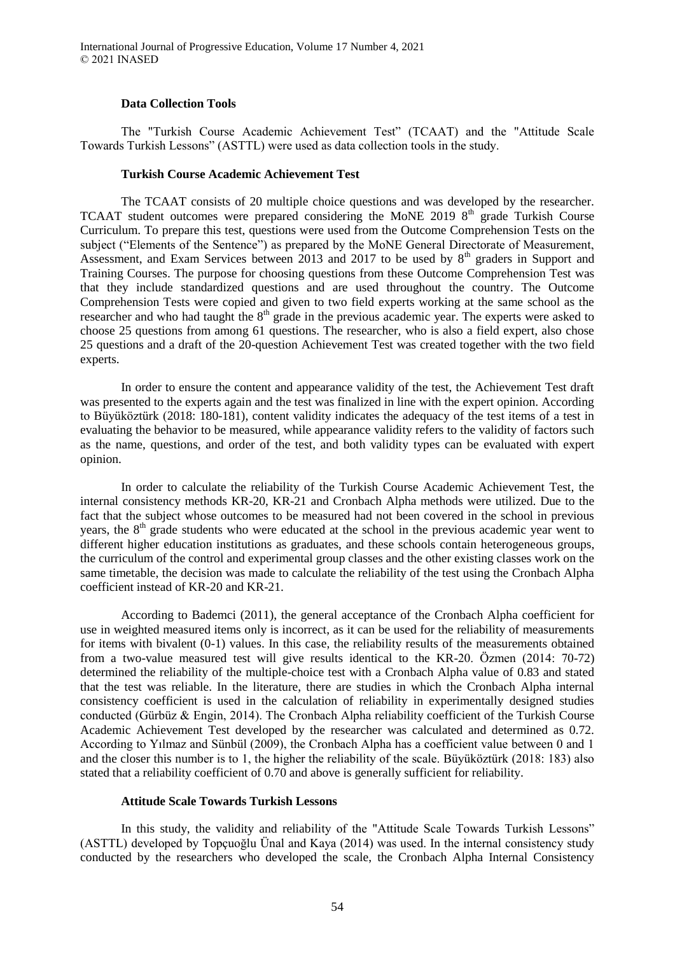#### **Data Collection Tools**

The "Turkish Course Academic Achievement Test" (TCAAT) and the "Attitude Scale Towards Turkish Lessons" (ASTTL) were used as data collection tools in the study.

#### **Turkish Course Academic Achievement Test**

The TCAAT consists of 20 multiple choice questions and was developed by the researcher. TCAAT student outcomes were prepared considering the MoNE 2019 8<sup>th</sup> grade Turkish Course Curriculum. To prepare this test, questions were used from the Outcome Comprehension Tests on the subject ("Elements of the Sentence") as prepared by the MoNE General Directorate of Measurement, Assessment, and Exam Services between 2013 and 2017 to be used by  $8<sup>th</sup>$  graders in Support and Training Courses. The purpose for choosing questions from these Outcome Comprehension Test was that they include standardized questions and are used throughout the country. The Outcome Comprehension Tests were copied and given to two field experts working at the same school as the researcher and who had taught the  $8<sup>th</sup>$  grade in the previous academic year. The experts were asked to choose 25 questions from among 61 questions. The researcher, who is also a field expert, also chose 25 questions and a draft of the 20-question Achievement Test was created together with the two field experts.

In order to ensure the content and appearance validity of the test, the Achievement Test draft was presented to the experts again and the test was finalized in line with the expert opinion. According to Büyüköztürk (2018: 180-181), content validity indicates the adequacy of the test items of a test in evaluating the behavior to be measured, while appearance validity refers to the validity of factors such as the name, questions, and order of the test, and both validity types can be evaluated with expert opinion.

In order to calculate the reliability of the Turkish Course Academic Achievement Test, the internal consistency methods KR-20, KR-21 and Cronbach Alpha methods were utilized. Due to the fact that the subject whose outcomes to be measured had not been covered in the school in previous years, the 8<sup>th</sup> grade students who were educated at the school in the previous academic year went to different higher education institutions as graduates, and these schools contain heterogeneous groups, the curriculum of the control and experimental group classes and the other existing classes work on the same timetable, the decision was made to calculate the reliability of the test using the Cronbach Alpha coefficient instead of KR-20 and KR-21.

According to Bademci (2011), the general acceptance of the Cronbach Alpha coefficient for use in weighted measured items only is incorrect, as it can be used for the reliability of measurements for items with bivalent (0-1) values. In this case, the reliability results of the measurements obtained from a two-value measured test will give results identical to the KR-20. Özmen (2014: 70-72) determined the reliability of the multiple-choice test with a Cronbach Alpha value of 0.83 and stated that the test was reliable. In the literature, there are studies in which the Cronbach Alpha internal consistency coefficient is used in the calculation of reliability in experimentally designed studies conducted (Gürbüz & Engin, 2014). The Cronbach Alpha reliability coefficient of the Turkish Course Academic Achievement Test developed by the researcher was calculated and determined as 0.72. According to Yılmaz and Sünbül (2009), the Cronbach Alpha has a coefficient value between 0 and 1 and the closer this number is to 1, the higher the reliability of the scale. Büyüköztürk (2018: 183) also stated that a reliability coefficient of 0.70 and above is generally sufficient for reliability.

#### **Attitude Scale Towards Turkish Lessons**

In this study, the validity and reliability of the "Attitude Scale Towards Turkish Lessons" (ASTTL) developed by Topçuoğlu Ünal and Kaya (2014) was used. In the internal consistency study conducted by the researchers who developed the scale, the Cronbach Alpha Internal Consistency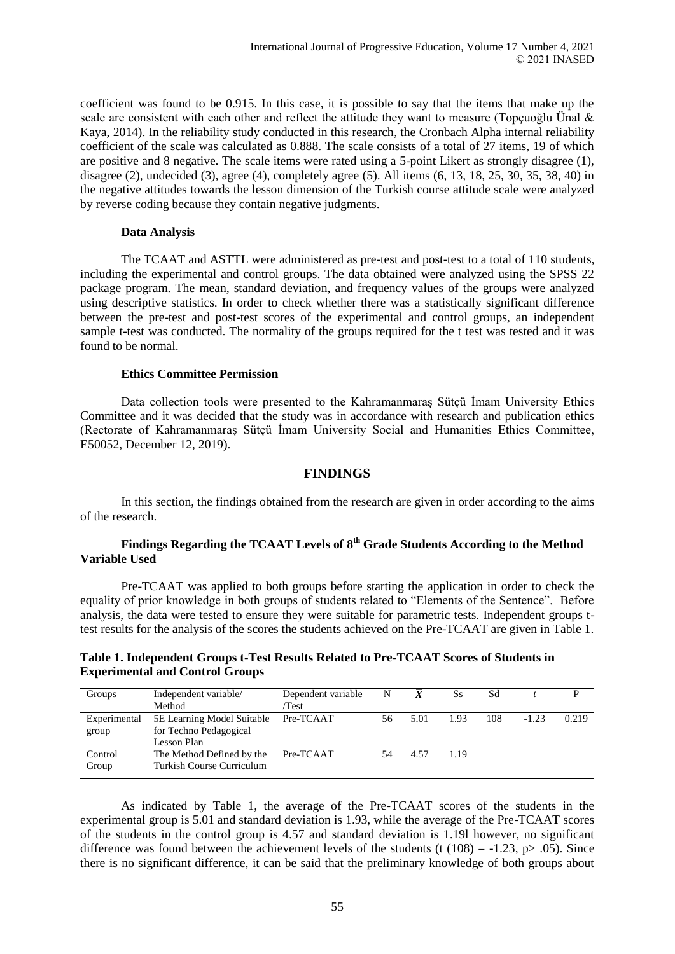coefficient was found to be 0.915. In this case, it is possible to say that the items that make up the scale are consistent with each other and reflect the attitude they want to measure (Topçuoğlu Ünal  $\&$ Kaya, 2014). In the reliability study conducted in this research, the Cronbach Alpha internal reliability coefficient of the scale was calculated as 0.888. The scale consists of a total of 27 items, 19 of which are positive and 8 negative. The scale items were rated using a 5-point Likert as strongly disagree (1), disagree (2), undecided (3), agree (4), completely agree (5). All items  $(6, 13, 18, 25, 30, 35, 38, 40)$  in the negative attitudes towards the lesson dimension of the Turkish course attitude scale were analyzed by reverse coding because they contain negative judgments.

#### **Data Analysis**

The TCAAT and ASTTL were administered as pre-test and post-test to a total of 110 students, including the experimental and control groups. The data obtained were analyzed using the SPSS 22 package program. The mean, standard deviation, and frequency values of the groups were analyzed using descriptive statistics. In order to check whether there was a statistically significant difference between the pre-test and post-test scores of the experimental and control groups, an independent sample t-test was conducted. The normality of the groups required for the t test was tested and it was found to be normal.

#### **Ethics Committee Permission**

Data collection tools were presented to the Kahramanmaraş Sütçü İmam University Ethics Committee and it was decided that the study was in accordance with research and publication ethics (Rectorate of Kahramanmaraş Sütçü İmam University Social and Humanities Ethics Committee, E50052, December 12, 2019).

#### **FINDINGS**

In this section, the findings obtained from the research are given in order according to the aims of the research.

### **Findings Regarding the TCAAT Levels of 8th Grade Students According to the Method Variable Used**

Pre-TCAAT was applied to both groups before starting the application in order to check the equality of prior knowledge in both groups of students related to "Elements of the Sentence". Before analysis, the data were tested to ensure they were suitable for parametric tests. Independent groups ttest results for the analysis of the scores the students achieved on the Pre-TCAAT are given in Table 1.

### **Table 1. Independent Groups t-Test Results Related to Pre-TCAAT Scores of Students in Experimental and Control Groups**

| Groups                | Independent variable/<br>Method                                     | Dependent variable<br>/Test | N  | $\boldsymbol{X}$ | Ss   | Sd  |         |       |
|-----------------------|---------------------------------------------------------------------|-----------------------------|----|------------------|------|-----|---------|-------|
| Experimental<br>group | 5E Learning Model Suitable<br>for Techno Pedagogical<br>Lesson Plan | Pre-TCAAT                   | 56 | 5.01             | 1.93 | 108 | $-1.23$ | 0.219 |
| Control<br>Group      | The Method Defined by the<br>Turkish Course Curriculum              | Pre-TCAAT                   |    | 4.57             | 1.19 |     |         |       |

As indicated by Table 1, the average of the Pre-TCAAT scores of the students in the experimental group is 5.01 and standard deviation is 1.93, while the average of the Pre-TCAAT scores of the students in the control group is 4.57 and standard deviation is 1.19l however, no significant difference was found between the achievement levels of the students (t (108) = -1.23, p > .05). Since there is no significant difference, it can be said that the preliminary knowledge of both groups about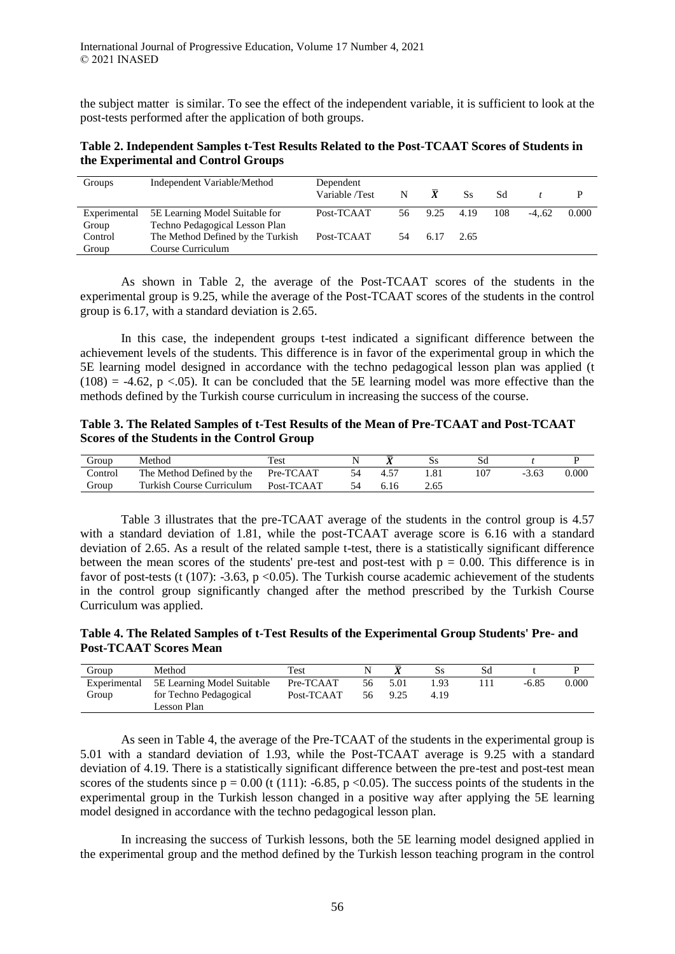the subject matter is similar. To see the effect of the independent variable, it is sufficient to look at the post-tests performed after the application of both groups.

# **Table 2. Independent Samples t-Test Results Related to the Post-TCAAT Scores of Students in the Experimental and Control Groups**

| Groups       | Independent Variable/Method       | Dependent<br>Variable /Test | N  | $\bar{\mathbf{x}}$ | Ss   | Sd  |         |       |
|--------------|-----------------------------------|-----------------------------|----|--------------------|------|-----|---------|-------|
| Experimental | 5E Learning Model Suitable for    | Post-TCAAT                  | 56 | 9.25               | 4.19 | 108 | $-4.62$ | 0.000 |
| Group        | Techno Pedagogical Lesson Plan    |                             |    |                    |      |     |         |       |
| Control      | The Method Defined by the Turkish | Post-TCAAT                  | 54 | 6.17               | 2.65 |     |         |       |
| Group        | Course Curriculum                 |                             |    |                    |      |     |         |       |

As shown in Table 2, the average of the Post-TCAAT scores of the students in the experimental group is 9.25, while the average of the Post-TCAAT scores of the students in the control group is 6.17, with a standard deviation is 2.65.

In this case, the independent groups t-test indicated a significant difference between the achievement levels of the students. This difference is in favor of the experimental group in which the 5E learning model designed in accordance with the techno pedagogical lesson plan was applied (t  $(108) = -4.62$ , p <.05). It can be concluded that the 5E learning model was more effective than the methods defined by the Turkish course curriculum in increasing the success of the course.

### **Table 3. The Related Samples of t-Test Results of the Mean of Pre-TCAAT and Post-TCAAT Scores of the Students in the Control Group**

| Group   | Method                              | Test       |      |      |         |       |
|---------|-------------------------------------|------------|------|------|---------|-------|
| Control | The Method Defined by the Pre-TCAAT |            |      | .81  | $-3.63$ | 0.000 |
| Group   | Turkish Course Curriculum           | Post-TCAAT | 6.16 | 2.65 |         |       |

Table 3 illustrates that the pre-TCAAT average of the students in the control group is 4.57 with a standard deviation of 1.81, while the post-TCAAT average score is 6.16 with a standard deviation of 2.65. As a result of the related sample t-test, there is a statistically significant difference between the mean scores of the students' pre-test and post-test with  $p = 0.00$ . This difference is in favor of post-tests (t (107): -3.63, p < 0.05). The Turkish course academic achievement of the students in the control group significantly changed after the method prescribed by the Turkish Course Curriculum was applied.

**Table 4. The Related Samples of t-Test Results of the Experimental Group Students' Pre- and Post-TCAAT Scores Mean**

| Group        | Method                                | Test       |    |      |      | Sd |         |       |
|--------------|---------------------------------------|------------|----|------|------|----|---------|-------|
| Experimental | 5E Learning Model Suitable            | Pre-TCAAT  | 56 | 5.01 | .93  |    | $-6.85$ | 0.000 |
| Group        | for Techno Pedagogical<br>Lesson Plan | Post-TCAAT | 56 | 9.25 | 4.19 |    |         |       |

As seen in Table 4, the average of the Pre-TCAAT of the students in the experimental group is 5.01 with a standard deviation of 1.93, while the Post-TCAAT average is 9.25 with a standard deviation of 4.19. There is a statistically significant difference between the pre-test and post-test mean scores of the students since  $p = 0.00$  (t (111): -6.85, p <0.05). The success points of the students in the experimental group in the Turkish lesson changed in a positive way after applying the 5E learning model designed in accordance with the techno pedagogical lesson plan.

In increasing the success of Turkish lessons, both the 5E learning model designed applied in the experimental group and the method defined by the Turkish lesson teaching program in the control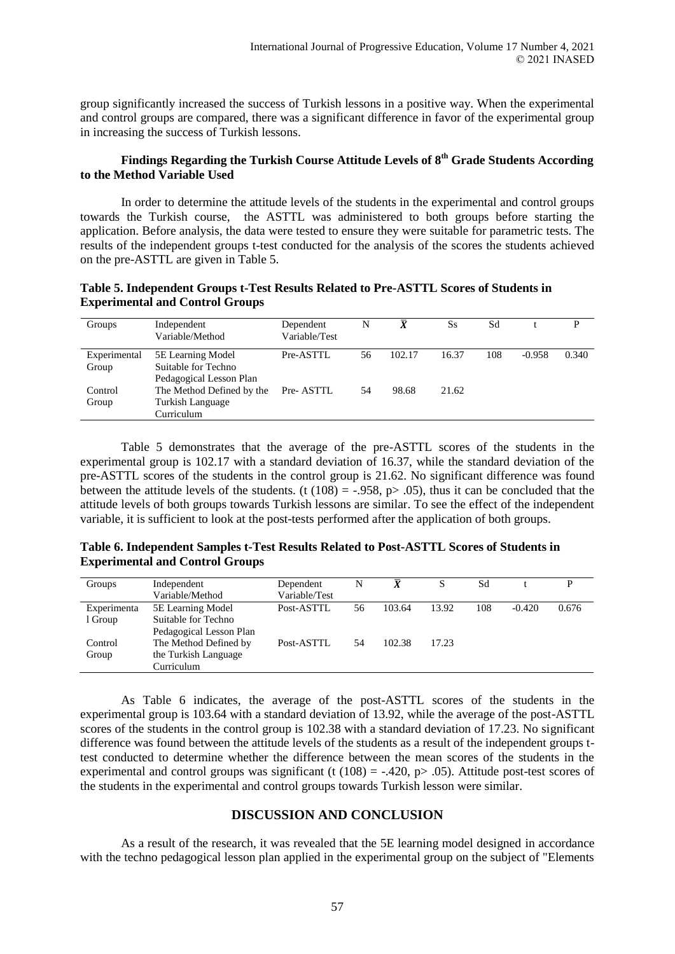group significantly increased the success of Turkish lessons in a positive way. When the experimental and control groups are compared, there was a significant difference in favor of the experimental group in increasing the success of Turkish lessons.

# **Findings Regarding the Turkish Course Attitude Levels of 8th Grade Students According to the Method Variable Used**

In order to determine the attitude levels of the students in the experimental and control groups towards the Turkish course, the ASTTL was administered to both groups before starting the application. Before analysis, the data were tested to ensure they were suitable for parametric tests. The results of the independent groups t-test conducted for the analysis of the scores the students achieved on the pre-ASTTL are given in Table 5.

# **Table 5. Independent Groups t-Test Results Related to Pre-ASTTL Scores of Students in Experimental and Control Groups**

| Groups                | Independent<br>Variable/Method                                      | Dependent<br>Variable/Test | N  | $\bar{x}$ | Ss    | Sd  |          | D     |
|-----------------------|---------------------------------------------------------------------|----------------------------|----|-----------|-------|-----|----------|-------|
| Experimental<br>Group | 5E Learning Model<br>Suitable for Techno<br>Pedagogical Lesson Plan | Pre-ASTTL                  | 56 | 102.17    | 16.37 | 108 | $-0.958$ | 0.340 |
| Control<br>Group      | The Method Defined by the<br>Turkish Language<br>Curriculum         | Pre-ASTTL                  | 54 | 98.68     | 21.62 |     |          |       |

Table 5 demonstrates that the average of the pre-ASTTL scores of the students in the experimental group is 102.17 with a standard deviation of 16.37, while the standard deviation of the pre-ASTTL scores of the students in the control group is 21.62. No significant difference was found between the attitude levels of the students. (t  $(108) = -.958$ , p> .05), thus it can be concluded that the attitude levels of both groups towards Turkish lessons are similar. To see the effect of the independent variable, it is sufficient to look at the post-tests performed after the application of both groups.

# **Table 6. Independent Samples t-Test Results Related to Post-ASTTL Scores of Students in Experimental and Control Groups**

| Groups      | Independent<br>Variable/Method | Dependent<br>Variable/Test | N  | $\bar{X}$ |       | Sd  |          | D     |
|-------------|--------------------------------|----------------------------|----|-----------|-------|-----|----------|-------|
| Experimenta | 5E Learning Model              | Post-ASTTL                 | 56 | 103.64    | 13.92 | 108 | $-0.420$ | 0.676 |
| 1 Group     | Suitable for Techno            |                            |    |           |       |     |          |       |
|             | Pedagogical Lesson Plan        |                            |    |           |       |     |          |       |
| Control     | The Method Defined by          | Post-ASTTL                 | 54 | 102.38    | 17.23 |     |          |       |
| Group       | the Turkish Language           |                            |    |           |       |     |          |       |
|             | Curriculum                     |                            |    |           |       |     |          |       |

As Table 6 indicates, the average of the post-ASTTL scores of the students in the experimental group is 103.64 with a standard deviation of 13.92, while the average of the post-ASTTL scores of the students in the control group is 102.38 with a standard deviation of 17.23. No significant difference was found between the attitude levels of the students as a result of the independent groups ttest conducted to determine whether the difference between the mean scores of the students in the experimental and control groups was significant (t (108) = -.420, p > .05). Attitude post-test scores of the students in the experimental and control groups towards Turkish lesson were similar.

# **DISCUSSION AND CONCLUSION**

As a result of the research, it was revealed that the 5E learning model designed in accordance with the techno pedagogical lesson plan applied in the experimental group on the subject of "Elements"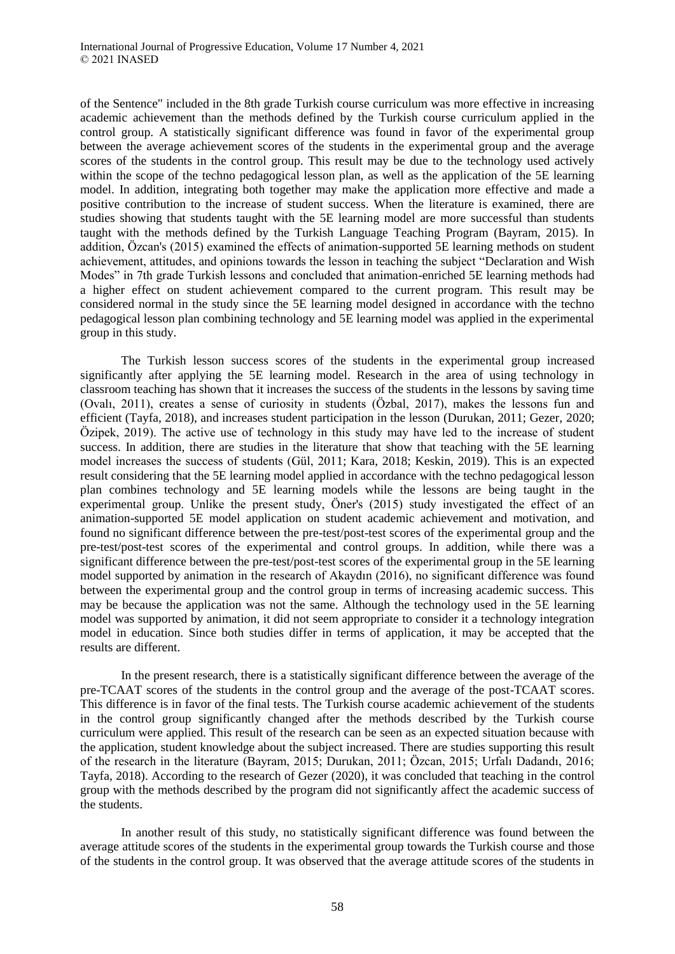of the Sentence" included in the 8th grade Turkish course curriculum was more effective in increasing academic achievement than the methods defined by the Turkish course curriculum applied in the control group. A statistically significant difference was found in favor of the experimental group between the average achievement scores of the students in the experimental group and the average scores of the students in the control group. This result may be due to the technology used actively within the scope of the techno pedagogical lesson plan, as well as the application of the 5E learning model. In addition, integrating both together may make the application more effective and made a positive contribution to the increase of student success. When the literature is examined, there are studies showing that students taught with the 5E learning model are more successful than students taught with the methods defined by the Turkish Language Teaching Program (Bayram, 2015). In addition, Özcan's (2015) examined the effects of animation-supported 5E learning methods on student achievement, attitudes, and opinions towards the lesson in teaching the subject "Declaration and Wish Modes" in 7th grade Turkish lessons and concluded that animation-enriched 5E learning methods had a higher effect on student achievement compared to the current program. This result may be considered normal in the study since the 5E learning model designed in accordance with the techno pedagogical lesson plan combining technology and 5E learning model was applied in the experimental group in this study.

The Turkish lesson success scores of the students in the experimental group increased significantly after applying the 5E learning model. Research in the area of using technology in classroom teaching has shown that it increases the success of the students in the lessons by saving time (Ovalı, 2011), creates a sense of curiosity in students (Özbal, 2017), makes the lessons fun and efficient (Tayfa, 2018), and increases student participation in the lesson (Durukan, 2011; Gezer, 2020; Özipek, 2019). The active use of technology in this study may have led to the increase of student success. In addition, there are studies in the literature that show that teaching with the 5E learning model increases the success of students (Gül, 2011; Kara, 2018; Keskin, 2019). This is an expected result considering that the 5E learning model applied in accordance with the techno pedagogical lesson plan combines technology and 5E learning models while the lessons are being taught in the experimental group. Unlike the present study, Öner's (2015) study investigated the effect of an animation-supported 5E model application on student academic achievement and motivation, and found no significant difference between the pre-test/post-test scores of the experimental group and the pre-test/post-test scores of the experimental and control groups. In addition, while there was a significant difference between the pre-test/post-test scores of the experimental group in the 5E learning model supported by animation in the research of Akaydın (2016), no significant difference was found between the experimental group and the control group in terms of increasing academic success. This may be because the application was not the same. Although the technology used in the 5E learning model was supported by animation, it did not seem appropriate to consider it a technology integration model in education. Since both studies differ in terms of application, it may be accepted that the results are different.

In the present research, there is a statistically significant difference between the average of the pre-TCAAT scores of the students in the control group and the average of the post-TCAAT scores. This difference is in favor of the final tests. The Turkish course academic achievement of the students in the control group significantly changed after the methods described by the Turkish course curriculum were applied. This result of the research can be seen as an expected situation because with the application, student knowledge about the subject increased. There are studies supporting this result of the research in the literature (Bayram, 2015; Durukan, 2011; Özcan, 2015; Urfalı Dadandı, 2016; Tayfa, 2018). According to the research of Gezer (2020), it was concluded that teaching in the control group with the methods described by the program did not significantly affect the academic success of the students.

In another result of this study, no statistically significant difference was found between the average attitude scores of the students in the experimental group towards the Turkish course and those of the students in the control group. It was observed that the average attitude scores of the students in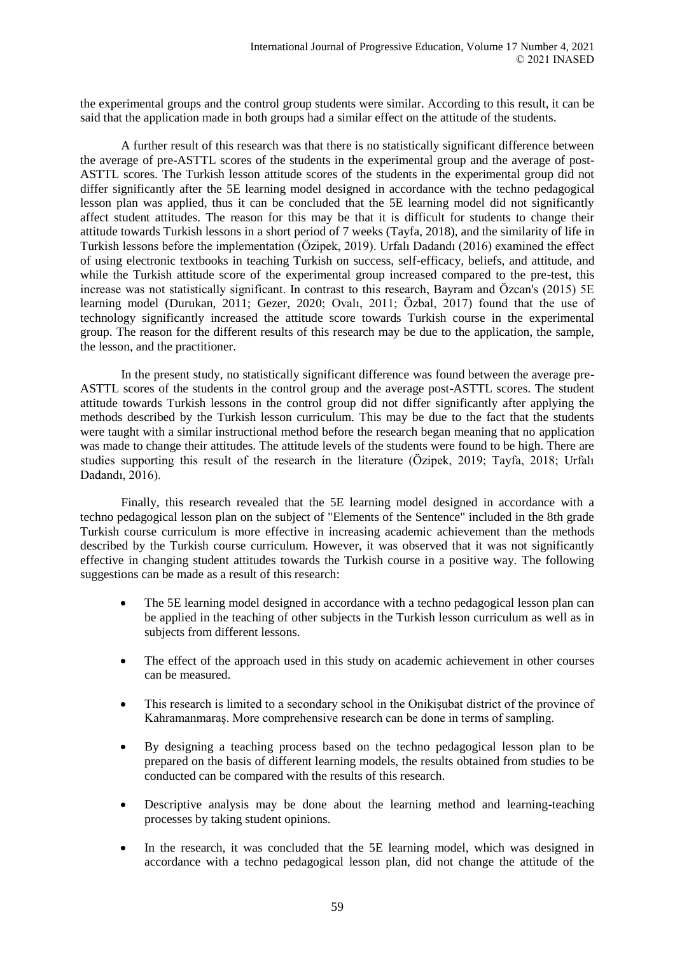the experimental groups and the control group students were similar. According to this result, it can be said that the application made in both groups had a similar effect on the attitude of the students.

A further result of this research was that there is no statistically significant difference between the average of pre-ASTTL scores of the students in the experimental group and the average of post-ASTTL scores. The Turkish lesson attitude scores of the students in the experimental group did not differ significantly after the 5E learning model designed in accordance with the techno pedagogical lesson plan was applied, thus it can be concluded that the 5E learning model did not significantly affect student attitudes. The reason for this may be that it is difficult for students to change their attitude towards Turkish lessons in a short period of 7 weeks (Tayfa, 2018), and the similarity of life in Turkish lessons before the implementation (Özipek, 2019). Urfalı Dadandı (2016) examined the effect of using electronic textbooks in teaching Turkish on success, self-efficacy, beliefs, and attitude, and while the Turkish attitude score of the experimental group increased compared to the pre-test, this increase was not statistically significant. In contrast to this research, Bayram and Özcan's (2015) 5E learning model (Durukan, 2011; Gezer, 2020; Ovalı, 2011; Özbal, 2017) found that the use of technology significantly increased the attitude score towards Turkish course in the experimental group. The reason for the different results of this research may be due to the application, the sample, the lesson, and the practitioner.

In the present study, no statistically significant difference was found between the average pre-ASTTL scores of the students in the control group and the average post-ASTTL scores. The student attitude towards Turkish lessons in the control group did not differ significantly after applying the methods described by the Turkish lesson curriculum. This may be due to the fact that the students were taught with a similar instructional method before the research began meaning that no application was made to change their attitudes. The attitude levels of the students were found to be high. There are studies supporting this result of the research in the literature (Özipek, 2019; Tayfa, 2018; Urfalı Dadandı, 2016).

Finally, this research revealed that the 5E learning model designed in accordance with a techno pedagogical lesson plan on the subject of "Elements of the Sentence" included in the 8th grade Turkish course curriculum is more effective in increasing academic achievement than the methods described by the Turkish course curriculum. However, it was observed that it was not significantly effective in changing student attitudes towards the Turkish course in a positive way. The following suggestions can be made as a result of this research:

- The 5E learning model designed in accordance with a techno pedagogical lesson plan can be applied in the teaching of other subjects in the Turkish lesson curriculum as well as in subjects from different lessons.
- The effect of the approach used in this study on academic achievement in other courses can be measured.
- This research is limited to a secondary school in the Onikişubat district of the province of Kahramanmaraş. More comprehensive research can be done in terms of sampling.
- By designing a teaching process based on the techno pedagogical lesson plan to be prepared on the basis of different learning models, the results obtained from studies to be conducted can be compared with the results of this research.
- Descriptive analysis may be done about the learning method and learning-teaching processes by taking student opinions.
- In the research, it was concluded that the 5E learning model, which was designed in accordance with a techno pedagogical lesson plan, did not change the attitude of the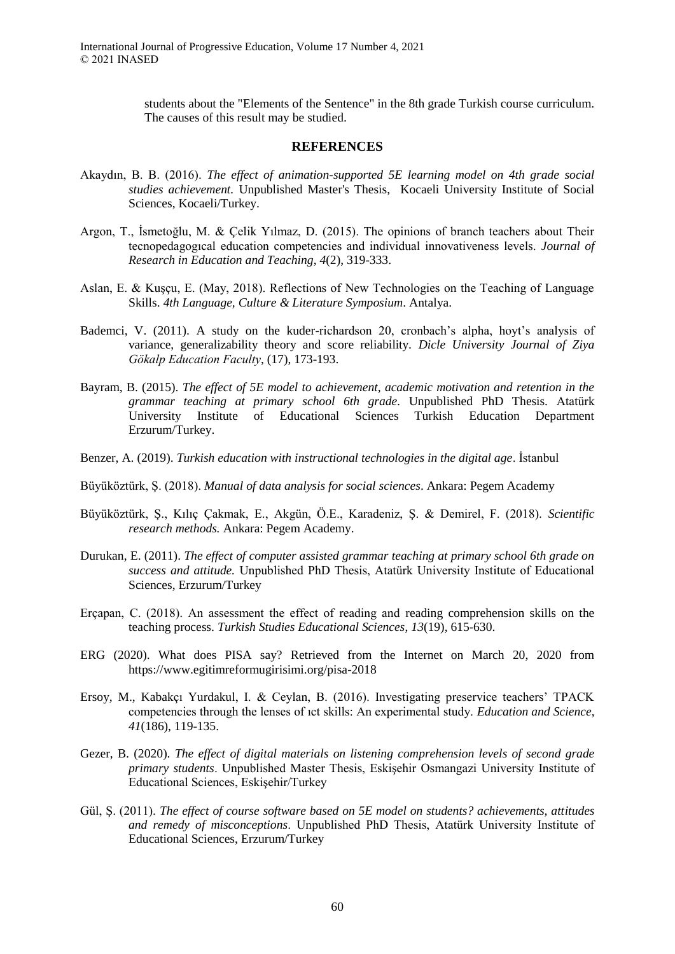students about the "Elements of the Sentence" in the 8th grade Turkish course curriculum. The causes of this result may be studied.

#### **REFERENCES**

- Akaydın, B. B. (2016). *The effect of animation-supported 5E learning model on 4th grade social studies achievement.* Unpublished Master's Thesis, Kocaeli University Institute of Social Sciences, Kocaeli/Turkey.
- Argon, T., İsmetoğlu, M. & Çelik Yılmaz, D. (2015). The opinions of branch teachers about Their tecnopedagogıcal education competencies and individual innovativeness levels. *Journal of Research in Education and Teaching*, *4*(2), 319-333.
- Aslan, E. & Kuşçu, E. (May, 2018). Reflections of New Technologies on the Teaching of Language Skills. *4th Language, Culture & Literature Symposium*. Antalya.
- Bademci, V. (2011). A study on the kuder-richardson 20, cronbach's alpha, hoyt's analysis of variance, generalizability theory and score reliability. *Dicle University Journal of Ziya Gökalp Education Faculty*, (17), 173-193.
- Bayram, B. (2015). *The effect of 5E model to achievement, academic motivation and retention in the grammar teaching at primary school 6th grade.* Unpublished PhD Thesis. Atatürk University Institute of Educational Sciences Turkish Education Department Erzurum/Turkey.
- Benzer, A. (2019). *Turkish education with instructional technologies in the digital age*. İstanbul
- Büyüköztürk, Ş. (2018). *Manual of data analysis for social sciences*. Ankara: Pegem Academy
- Büyüköztürk, Ş., Kılıç Çakmak, E., Akgün, Ö.E., Karadeniz, Ş. & Demirel, F. (2018). *Scientific research methods.* Ankara: Pegem Academy.
- Durukan, E. (2011). *The effect of computer assisted grammar teaching at primary school 6th grade on success and attitude.* Unpublished PhD Thesis, Atatürk University Institute of Educational Sciences, Erzurum/Turkey
- Erçapan, C. (2018). An assessment the effect of reading and reading comprehension skills on the teaching process. *Turkish Studies Educational Sciences*, *13*(19), 615-630.
- ERG (2020). What does PISA say? Retrieved from the Internet on March 20, 2020 from https://www.egitimreformugirisimi.org/pisa-2018
- Ersoy, M., Kabakçı Yurdakul, I. & Ceylan, B. (2016). Investigating preservice teachers' TPACK competencies through the lenses of ıct skills: An experimental study. *Education and Science*, *41*(186), 119-135.
- Gezer, B. (2020). *The effect of digital materials on listening comprehension levels of second grade primary students*. Unpublished Master Thesis, Eskişehir Osmangazi University Institute of Educational Sciences, Eskişehir/Turkey
- Gül, Ş. (2011). *The effect of course software based on 5E model on students? achievements, attitudes and remedy of misconceptions*. Unpublished PhD Thesis, Atatürk University Institute of Educational Sciences, Erzurum/Turkey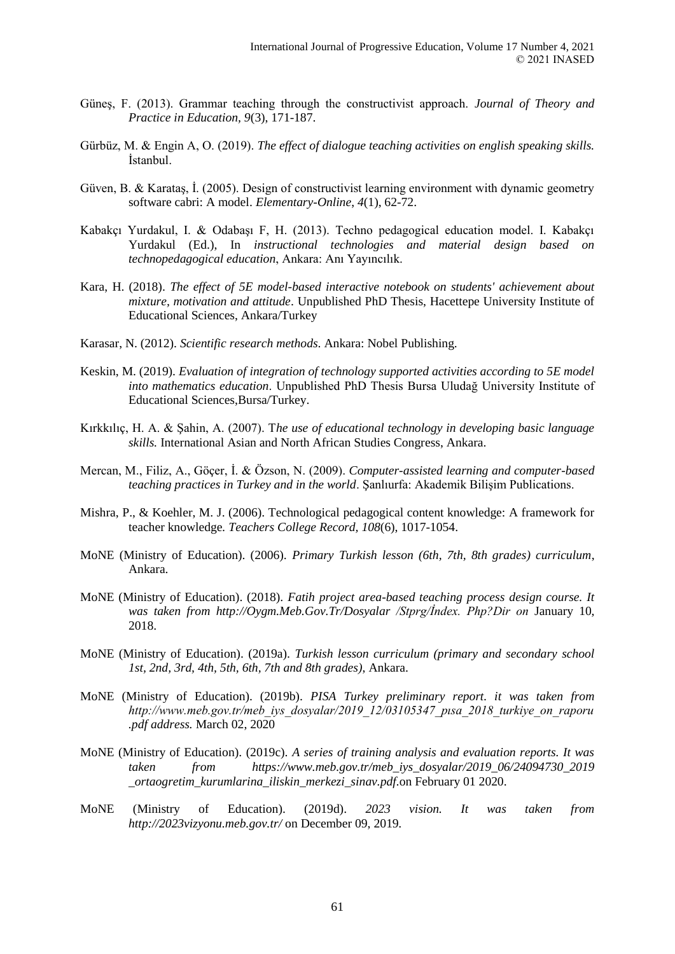- Güneş, F. (2013). Grammar teaching through the constructivist approach. *Journal of Theory and Practice in Education, 9*(3), 171-187.
- Gürbüz, M. & Engin A, O. (2019). *The effect of dialogue teaching activities on english speaking skills.* İstanbul.
- Güven, B. & Karataş, İ. (2005). Design of constructivist learning environment with dynamic geometry software cabri: A model. *Elementary-Online*, *4*(1), 62-72.
- Kabakçı Yurdakul, I. & Odabaşı F, H. (2013). Techno pedagogical education model. I. Kabakçı Yurdakul (Ed.), In *instructional technologies and material design based on technopedagogical education*, Ankara: Anı Yayıncılık.
- Kara, H. (2018). *The effect of 5E model-based interactive notebook on students' achievement about mixture, motivation and attitude*. Unpublished PhD Thesis, Hacettepe University Institute of Educational Sciences, Ankara/Turkey
- Karasar, N. (2012). *Scientific research methods*. Ankara: Nobel Publishing.
- Keskin, M. (2019). *Evaluation of integration of technology supported activities according to 5E model into mathematics education*. Unpublished PhD Thesis Bursa Uludağ University Institute of Educational Sciences,Bursa/Turkey.
- Kırkkılıç, H. A. & Şahin, A. (2007). T*he use of educational technology in developing basic language skills.* International Asian and North African Studies Congress, Ankara.
- Mercan, M., Filiz, A., Göçer, İ. & Özson, N. (2009). *Computer-assisted learning and computer-based teaching practices in Turkey and in the world*. Şanlıurfa: Akademik Bilişim Publications.
- Mishra, P., & Koehler, M. J. (2006). Technological pedagogical content knowledge: A framework for teacher knowledge*. Teachers College Record, 108*(6), 1017-1054.
- MoNE (Ministry of Education). (2006). *Primary Turkish lesson (6th, 7th, 8th grades) curriculum*, Ankara.
- MoNE (Ministry of Education). (2018). *Fatih project area-based teaching process design course. It was taken from http://Oygm.Meb.Gov.Tr/Dosyalar /Stprg/İndex. Php?Dir on* January 10, 2018.
- MoNE (Ministry of Education). (2019a). *Turkish lesson curriculum (primary and secondary school 1st, 2nd, 3rd, 4th, 5th, 6th, 7th and 8th grades)*, Ankara.
- MoNE (Ministry of Education). (2019b). *PISA Turkey preliminary report. it was taken from http://www.meb.gov.tr/meb\_iys\_dosyalar/2019\_12/03105347\_pısa\_2018\_turkiye\_on\_raporu .pdf address.* March 02, 2020
- MoNE (Ministry of Education). (2019c). *A series of training analysis and evaluation reports. It was taken from https://www.meb.gov.tr/meb\_iys\_dosyalar/2019\_06/24094730\_2019 \_ortaogretim\_kurumlarina\_iliskin\_merkezi\_sinav.pdf.*on February 01 2020.
- MoNE (Ministry of Education). (2019d). *2023 vision. It was taken from http://2023vizyonu.meb.gov.tr/* on December 09, 2019*.*